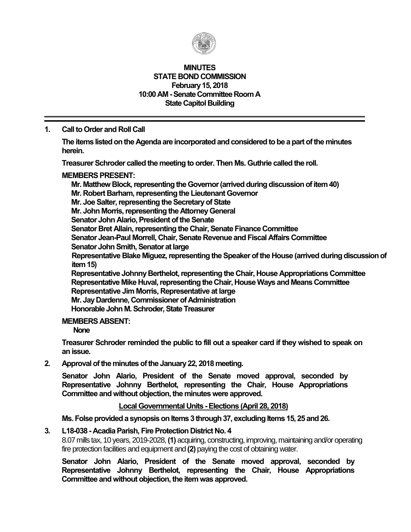

#### **MINUTES STATE BOND COMMISSION February 15, 2018 10:00 AM -Senate Committee Room A State Capitol Building**

### **1. Call to Order and Roll Call**

**The items listed on the Agenda are incorporated and considered to be a part of the minutes herein.**

**Treasurer Schroder called the meeting to order. Then Ms. Guthrie called the roll.**

#### **MEMBERS PRESENT:**

**Mr. Matthew Block, representing the Governor (arrived during discussion of item 40) Mr. Robert Barham, representing the Lieutenant Governor Mr. Joe Salter, representing the Secretary of State Mr. John Morris, representing the Attorney General Senator John Alario, President of the Senate Senator Bret Allain, representing the Chair, Senate Finance Committee Senator Jean-Paul Morrell, Chair, Senate Revenue and Fiscal Affairs Committee Senator John Smith, Senator at large** Representative Blake Miguez, representing the Speaker of the House (arrived during discussion of **item 15) Representative Johnny Berthelot, representing the Chair, House Appropriations Committee Representative Mike Huval, representing the Chair, House Ways and Means Committee Representative Jim Morris, Representative at large Mr. Jay Dardenne, Commissioner of Administration**

**Honorable John M. Schroder, State Treasurer**

### **MEMBERS ABSENT:**

**None**

**Treasurer Schroder reminded the public to fill out a speaker card if they wished to speak on an issue.**

**2. Approval of the minutes of the January 22, 2018 meeting.**

**Senator John Alario, President of the Senate moved approval, seconded by Representative Johnny Berthelot, representing the Chair, House Appropriations Committee and without objection, the minutes were approved.**

### **Local Governmental Units -Elections (April 28, 2018)**

**Ms. Folse provided a synopsis on Items 3 through 37, excluding Items 15, 25 and 26.**

### **3. L18-038 - AcadiaParish, Fire Protection District No. 4**

8.07 mills tax, 10 years, 2019-2028, **(1)** acquiring, constructing, improving, maintaining and/or operating fire protection facilities and equipment and **(2)** paying the cost of obtaining water.

**Senator John Alario, President of the Senate moved approval, seconded by Representative Johnny Berthelot, representing the Chair, House Appropriations Committee and without objection, the item was approved.**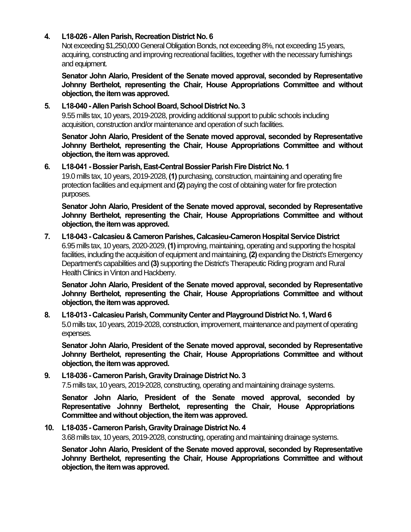### **4. L18-026 - Allen Parish, Recreation District No. 6**

Not exceeding \$1,250,000 General Obligation Bonds, not exceeding 8%, not exceeding 15 years, acquiring, constructing and improving recreational facilities, together with the necessary furnishings and equipment.

**Senator John Alario, President of the Senate moved approval, seconded by Representative Johnny Berthelot, representing the Chair, House Appropriations Committee and without objection, the item was approved.**

### **5. L18-040 - Allen Parish School Board, School District No. 3**

9.55 mills tax, 10 years, 2019-2028, providing additional support to public schools including acquisition, construction and/or maintenance and operation of such facilities.

**Senator John Alario, President of the Senate moved approval, seconded by Representative Johnny Berthelot, representing the Chair, House Appropriations Committee and without objection, the item was approved.**

### **6. L18-041 - Bossier Parish, East-Central Bossier Parish Fire District No. 1**

19.0 mills tax, 10 years, 2019-2028, **(1)** purchasing, construction, maintaining and operating fire protection facilities and equipment and **(2)** paying the cost of obtaining water for fire protection purposes.

**Senator John Alario, President of the Senate moved approval, seconded by Representative Johnny Berthelot, representing the Chair, House Appropriations Committee and without objection, the item was approved.**

### **7. L18-043 - Calcasieu & Cameron Parishes, Calcasieu-Cameron Hospital Service District** 6.95 mills tax, 10 years, 2020-2029, **(1)**improving, maintaining, operating and supporting the hospital facilities, including the acquisition of equipment and maintaining, **(2)** expanding the District's Emergency Department's capabilities and **(3)** supporting the District's Therapeutic Riding program and Rural Health Clinics in Vinton and Hackberry.

**Senator John Alario, President of the Senate moved approval, seconded by Representative Johnny Berthelot, representing the Chair, House Appropriations Committee and without objection, the item was approved.**

**8. L18-013 - Calcasieu Parish, Community Center and Playground District No. 1, Ward 6** 5.0 mills tax, 10 years, 2019-2028, construction, improvement, maintenance and payment of operating expenses.

**Senator John Alario, President of the Senate moved approval, seconded by Representative Johnny Berthelot, representing the Chair, House Appropriations Committee and without objection, the item was approved.**

# **9. L18-036 - Cameron Parish, Gravity Drainage District No. 3**

7.5 mills tax, 10 years, 2019-2028, constructing, operating and maintaining drainage systems.

**Senator John Alario, President of the Senate moved approval, seconded by Representative Johnny Berthelot, representing the Chair, House Appropriations Committee and without objection, the item was approved.**

### **10. L18-035 - Cameron Parish, Gravity Drainage District No. 4**

3.68 mills tax, 10years, 2019-2028, constructing, operating and maintaining drainage systems.

**Senator John Alario, President of the Senate moved approval, seconded by Representative Johnny Berthelot, representing the Chair, House Appropriations Committee and without objection, the item was approved.**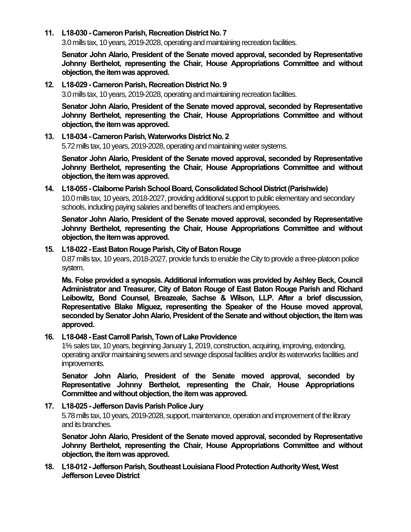**11. L18-030 - Cameron Parish, Recreation District No. 7**

3.0 mills tax, 10 years, 2019-2028, operating and maintaining recreation facilities.

**Senator John Alario, President of the Senate moved approval, seconded by Representative Johnny Berthelot, representing the Chair, House Appropriations Committee and without objection, the item was approved.**

#### **12. L18-029 - Cameron Parish, Recreation District No. 9**

3.0 mills tax, 10 years, 2019-2028, operating and maintaining recreation facilities.

**Senator John Alario, President of the Senate moved approval, seconded by Representative Johnny Berthelot, representing the Chair, House Appropriations Committee and without objection, the item was approved.**

#### **13. L18-034 - Cameron Parish, Waterworks District No. 2**

5.72 mills tax, 10 years, 2019-2028, operating and maintaining water systems.

**Senator John Alario, President of the Senate moved approval, seconded by Representative Johnny Berthelot, representing the Chair, House Appropriations Committee and without objection, the item was approved.**

### **14. L18-055 - Claiborne Parish School Board, Consolidated School District (Parishwide)** 10.0 mills tax, 10 years, 2018-2027, providing additional support to public elementary and secondary schools, including paying salaries and benefits of teachers and employees.

**Senator John Alario, President of the Senate moved approval, seconded by Representative Johnny Berthelot, representing the Chair, House Appropriations Committee and without objection, the item was approved.**

#### **15. L18-022 -East Baton Rouge Parish, City of Baton Rouge**

0.87 mills tax, 10 years, 2018-2027, provide funds to enable the City to provide a three-platoon police system.

**Ms. Folse provided a synopsis. Additional information was provided by Ashley Beck, Council Administrator and Treasurer, City of Baton Rouge of East Baton Rouge Parish and Richard Leibowitz, Bond Counsel, Breazeale, Sachse & Wilson, LLP. After a brief discussion, Representative Blake Miguez, representing the Speaker of the House moved approval, seconded by Senator John Alario, President of the Senate and without objection, the item was approved.**

#### **16. L18-048 -East Carroll Parish, Town of Lake Providence**

1% sales tax, 10 years, beginning January 1, 2019, construction, acquiring, improving, extending, operating and/or maintaining sewers and sewage disposal facilities and/or its waterworks facilities and improvements.

**Senator John Alario, President of the Senate moved approval, seconded by Representative Johnny Berthelot, representing the Chair, House Appropriations Committee and without objection, the item was approved.**

### **17. L18-025 - Jefferson Davis Parish Police Jury**

5.78 mills tax, 10 years, 2019-2028, support, maintenance, operation and improvement of the library and its branches.

**Senator John Alario, President of the Senate moved approval, seconded by Representative Johnny Berthelot, representing the Chair, House Appropriations Committee and without objection, the item was approved.**

**18. L18-012 - Jefferson Parish, Southeast Louisiana Flood Protection Authority West, West Jefferson Levee District**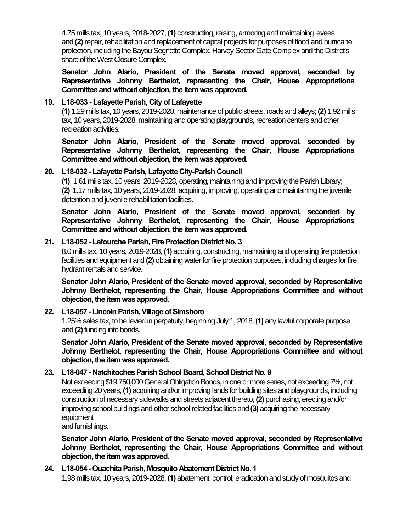4.75 mills tax, 10 years, 2018-2027, **(1)** constructing, raising, armoring and maintaining levees and **(2)**repair, rehabilitation and replacement of capital projects for purposes of flood and hurricane protection, including the Bayou Segnette Complex, Harvey Sector Gate Complex and the District's share of the West Closure Complex.

**Senator John Alario, President of the Senate moved approval, seconded by Representative Johnny Berthelot, representing the Chair, House Appropriations Committee and without objection, the item was approved.**

### **19. L18-033 - Lafayette Parish, City of Lafayette**

**(1)** 1.29 mills tax, 10 years, 2019-2028, maintenance of public streets, roads and alleys;**(2)** 1.92 mills tax, 10 years, 2019-2028, maintaining and operating playgrounds, recreation centers and other recreation activities.

**Senator John Alario, President of the Senate moved approval, seconded by Representative Johnny Berthelot, representing the Chair, House Appropriations Committee and without objection, the item was approved.**

### **20. L18-032 - Lafayette Parish, Lafayette City-Parish Council**

**(1)** 1.61 mills tax, 10 years, 2019-2028, operating, maintaining and improving the Parish Library; **(2)** 1.17 mills tax, 10 years, 2019-2028, acquiring, improving, operating and maintaining the juvenile detention and juvenile rehabilitation facilities.

**Senator John Alario, President of the Senate moved approval, seconded by Representative Johnny Berthelot, representing the Chair, House Appropriations Committee and without objection, the item was approved.**

### **21. L18-052 - Lafourche Parish, Fire Protection District No. 3**

8.0 mills tax, 10 years, 2019-2028, **(1)** acquiring, constructing, maintaining and operating fire protection facilities and equipment and **(2)** obtaining water for fire protection purposes, including charges for fire hydrant rentals and service.

**Senator John Alario, President of the Senate moved approval, seconded by Representative Johnny Berthelot, representing the Chair, House Appropriations Committee and without objection, the item was approved.**

### **22. L18-057 -Lincoln Parish, Village of Simsboro**

1.25% sales tax, to be levied in perpetuity, beginning July 1, 2018, **(1)** any lawful corporate purpose and **(2)**funding into bonds.

**Senator John Alario, President of the Senate moved approval, seconded by Representative Johnny Berthelot, representing the Chair, House Appropriations Committee and without objection, the item was approved.**

### **23. L18-047 - Natchitoches Parish School Board, School District No. 9**

Not exceeding \$19,750,000 General Obligation Bonds, in one or more series, not exceeding 7%, not exceeding 20 years, **(1)** acquiring and/or improving lands for building sites and playgrounds, including construction of necessary sidewalks and streets adjacent thereto, **(2)** purchasing, erecting and/or improving school buildings and other school related facilities and **(3)** acquiring the necessary equipment

and furnishings.

**Senator John Alario, President of the Senate moved approval, seconded by Representative Johnny Berthelot, representing the Chair, House Appropriations Committee and without objection, the item was approved.**

### **24. L18-054 -Ouachita Parish, Mosquito Abatement District No. 1**

1.98 mills tax, 10 years, 2019-2028, **(1)** abatement, control, eradication and study of mosquitos and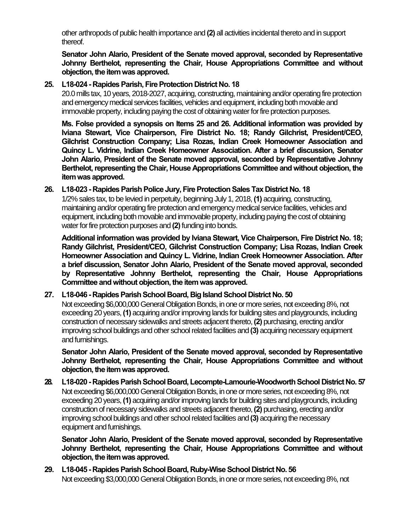other arthropods of public health importance and **(2)** all activities incidental thereto and in support thereof.

**Senator John Alario, President of the Senate moved approval, seconded by Representative Johnny Berthelot, representing the Chair, House Appropriations Committee and without objection, the item was approved.**

### **25. L18-024 - Rapides Parish, Fire Protection District No. 18**

20.0 mills tax, 10 years, 2018-2027, acquiring, constructing, maintaining and/or operating fire protection and emergency medical services facilities, vehicles and equipment, including both movable and immovable property, including paying the cost of obtaining water for fire protection purposes.

**Ms. Folse provided a synopsis on Items 25 and 26. Additional information was provided by Iviana Stewart, Vice Chairperson, Fire District No. 18; Randy Gilchrist, President/CEO, Gilchrist Construction Company; Lisa Rozas, Indian Creek Homeowner Association and Quincy L. Vidrine, Indian Creek Homeowner Association. After a brief discussion, Senator John Alario, President of the Senate moved approval, seconded by Representative Johnny Berthelot, representing the Chair, House Appropriations Committee and without objection, the item was approved.**

### **26. L18-023 - Rapides Parish Police Jury, Fire Protection Sales Tax District No. 18**

1/2% sales tax, to be levied in perpetuity, beginning July 1, 2018, **(1)** acquiring, constructing, maintaining and/or operating fire protection and emergency medical service facilities, vehicles and equipment, including both movable and immovable property, including paying the cost of obtaining water for fire protection purposes and (2) funding into bonds.

**Additional information was provided by Iviana Stewart, Vice Chairperson, Fire District No. 18; Randy Gilchrist, President/CEO, Gilchrist Construction Company; Lisa Rozas, Indian Creek Homeowner Association and Quincy L. Vidrine, Indian Creek Homeowner Association. After a brief discussion, Senator John Alario, President of the Senate moved approval, seconded by Representative Johnny Berthelot, representing the Chair, House Appropriations Committee and without objection, the item was approved.**

### **27. L18-046 - Rapides Parish School Board, Big Island School District No. 50**

Not exceeding \$6,000,000 General Obligation Bonds, in one or more series, not exceeding 8%, not exceeding 20 years, **(1)** acquiring and/or improving lands for building sites and playgrounds, including construction of necessary sidewalks and streets adjacent thereto, **(2)** purchasing, erecting and/or improving school buildings and other school related facilities and **(3)** acquiring necessary equipment and furnishings.

**Senator John Alario, President of the Senate moved approval, seconded by Representative Johnny Berthelot, representing the Chair, House Appropriations Committee and without objection, the item was approved.**

**28. L18-020 - Rapides Parish School Board, Lecompte-Lamourie-Woodworth School District No. 57** Not exceeding \$6,000,000 General Obligation Bonds, in one or more series, not exceeding 8%, not exceeding 20 years, **(1)** acquiring and/or improving lands for building sites and playgrounds, including construction of necessary sidewalks and streets adjacent thereto, **(2)** purchasing, erecting and/or improving school buildings and other school related facilities and **(3)** acquiring the necessary equipment and furnishings.

**Senator John Alario, President of the Senate moved approval, seconded by Representative Johnny Berthelot, representing the Chair, House Appropriations Committee and without objection, the item was approved.**

**29. L18-045 - Rapides Parish School Board, Ruby-Wise School District No. 56** Not exceeding \$3,000,000 General Obligation Bonds, in one or more series, not exceeding 8%, not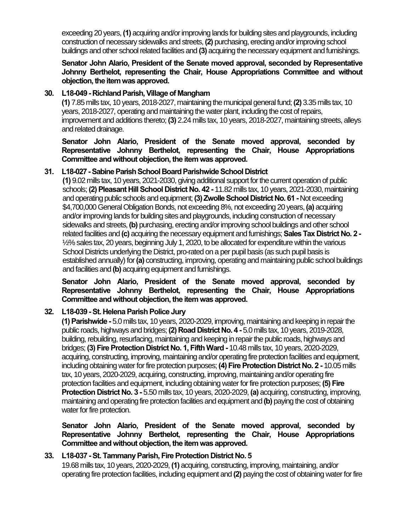exceeding 20 years, **(1)** acquiring and/or improving lands for building sites and playgrounds, including construction of necessary sidewalks and streets, **(2)** purchasing, erecting and/or improving school buildings and other school related facilities and **(3)** acquiring the necessary equipment and furnishings.

**Senator John Alario, President of the Senate moved approval, seconded by Representative Johnny Berthelot, representing the Chair, House Appropriations Committee and without objection, the item was approved.**

### **30. L18-049 - Richland Parish, Village of Mangham**

**(1)** 7.85 mills tax, 10 years, 2018-2027,maintaining the municipal general fund;**(2)** 3.35 mills tax, 10 years, 2018-2027, operating and maintaining the water plant, including the cost of repairs, improvement and additions thereto; **(3)** 2.24 mills tax, 10 years, 2018-2027, maintaining streets, alleys and related drainage.

**Senator John Alario, President of the Senate moved approval, seconded by Representative Johnny Berthelot, representing the Chair, House Appropriations Committee and without objection, the item was approved.**

### **31. L18-027 -Sabine Parish School BoardParishwide School District**

**(1)** 9.02 mills tax, 10 years, 2021-2030, giving additional support for thecurrent operation of public schools; **(2) Pleasant Hill School District No. 42 -** 11.82 mills tax, 10 years, 2021-2030, maintaining and operating public schools and equipment; **(3) Zwolle School District No. 61 -** Not exceeding \$4,700,000 General Obligation Bonds, not exceeding 8%, not exceeding 20 years, **(a)** acquiring and/or improving lands for building sites and playgrounds, including construction of necessary sidewalks and streets, **(b)** purchasing, erecting and/or improving school buildings and other school related facilities and **(c)** acquiring the necessary equipment and furnishings;**Sales Tax District No. 2 -** ½% sales tax, 20 years, beginning July 1, 2020, to be allocated for expenditure within the various School Districts underlying the District, pro-rated on a per pupil basis (as such pupil basis is established annually) for **(a)** constructing, improving, operating and maintaining public school buildings and facilities and **(b)** acquiring equipment and furnishings.

**Senator John Alario, President of the Senate moved approval, seconded by Representative Johnny Berthelot, representing the Chair, House Appropriations**  Committee and without objection, the item was approved.

## **32. L18-039 -St. Helena Parish Police Jury**

**(1) Parishwide -** 5.0 mills tax, 10 years, 2020-2029, improving, maintaining and keeping in repair the public roads, highways and bridges; **(2) Road District No. 4 -** 5.0 mills tax, 10 years, 2019-2028, building, rebuilding, resurfacing, maintaining and keeping in repair the public roads, highways and bridges; **(3) Fire Protection District No. 1, Fifth Ward -** 10.48 mills tax, 10 years, 2020-2029, acquiring, constructing, improving, maintaining and/or operating fire protection facilities and equipment, including obtaining water for fire protection purposes; **(4) Fire Protection District No. 2 -** 10.05 mills tax, 10 years, 2020-2029, acquiring, constructing, improving, maintainingand/or operating fire protection facilities and equipment, including obtaining water for fire protection purposes; **(5) Fire Protection District No. 3 -** 5.50 mills tax, 10 years, 2020-2029,**(a)** acquiring, constructing, improving, maintaining and operating fire protection facilities and equipment and **(b)** paying the cost of obtaining water for fire protection.

**Senator John Alario, President of the Senate moved approval, seconded by Representative Johnny Berthelot, representing the Chair, House Appropriations Committee and without objection, the item was approved.**

## **33. L18-037 -St. Tammany Parish, Fire Protection District No. 5**

19.68 mills tax, 10 years, 2020-2029, **(1)** acquiring, constructing, improving, maintaining, and/or operating fire protection facilities, including equipment and **(2)** paying the cost of obtaining water for fire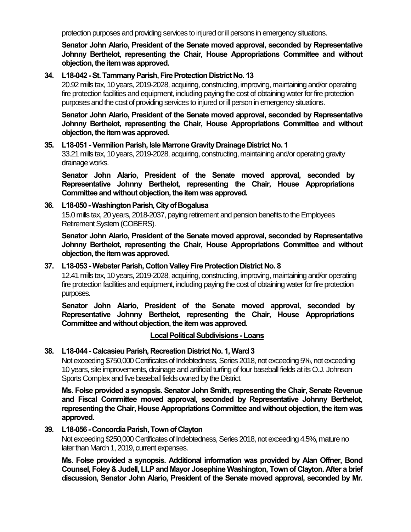protection purposes and providing services to injured or ill persons in emergency situations.

**Senator John Alario, President of the Senate moved approval, seconded by Representative Johnny Berthelot, representing the Chair, House Appropriations Committee and without objection, the item was approved.**

### **34. L18-042 -St. Tammany Parish, Fire Protection District No. 13**

20.92 mills tax, 10 years, 2019-2028, acquiring, constructing, improving, maintaining and/or operating fire protection facilities and equipment, including paying the cost of obtaining water for fire protection purposes and the cost of providing services to injured or ill person in emergency situations.

**Senator John Alario, President of the Senate moved approval, seconded by Representative Johnny Berthelot, representing the Chair, House Appropriations Committee and without objection, the item was approved.**

#### **35. L18-051 -Vermilion Parish, Isle Marrone Gravity Drainage District No. 1**

33.21 mills tax, 10 years, 2019-2028, acquiring, constructing, maintaining and/or operating gravity drainage works.

**Senator John Alario, President of the Senate moved approval, seconded by Representative Johnny Berthelot, representing the Chair, House Appropriations Committee and without objection, the item was approved.**

### **36. L18-050 -Washington Parish, City of Bogalusa**

15.0 mills tax, 20 years, 2018-2037, paying retirement and pension benefits to the Employees Retirement System (COBERS).

**Senator John Alario, President of the Senate moved approval, seconded by Representative Johnny Berthelot, representing the Chair, House Appropriations Committee and without objection, the item was approved.**

### **37. L18-053 -Webster Parish, Cotton Valley Fire Protection District No. 8**

12.41 mills tax, 10 years, 2019-2028, acquiring, constructing, improving, maintaining and/or operating fire protection facilities and equipment, including paying the cost of obtaining water for fire protection purposes.

**Senator John Alario, President of the Senate moved approval, seconded by Representative Johnny Berthelot, representing the Chair, House Appropriations Committee and without objection, the item was approved.**

### **Local Political Subdivisions -Loans**

### **38. L18-044 - Calcasieu Parish, Recreation District No. 1, Ward 3**

Not exceeding \$750,000 Certificates of Indebtedness, Series 2018, not exceeding 5%, not exceeding 10 years, site improvements, drainage and artificial turfing of four baseball fields at its O.J. Johnson Sports Complex and five baseball fields owned by the District.

**Ms. Folse provided a synopsis. Senator John Smith, representing the Chair, Senate Revenue and Fiscal Committee moved approval, seconded by Representative Johnny Berthelot, representing the Chair, House Appropriations Committee and without objection, the item was approved.**

### **39. L18-056 - Concordia Parish, Town of Clayton**

Not exceeding \$250,000 Certificates of Indebtedness, Series 2018, not exceeding 4.5%, mature no later than March 1, 2019, current expenses.

**Ms. Folse provided a synopsis. Additional information was provided by Alan Offner, Bond Counsel, Foley & Judell, LLP and Mayor Josephine Washington, Town of Clayton. After a brief discussion, Senator John Alario, President of the Senate moved approval, seconded by Mr.**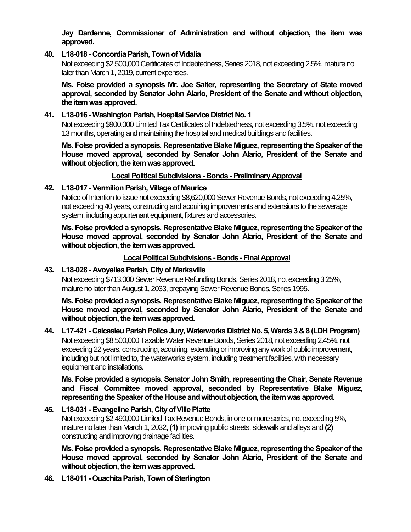**Jay Dardenne, Commissioner of Administration and without objection, the item was approved.**

### **40. L18-018 - Concordia Parish, Town of Vidalia**

Not exceeding \$2,500,000 Certificates of Indebtedness, Series 2018, not exceeding 2.5%, mature no later than March 1, 2019, current expenses.

**Ms. Folse provided a synopsis Mr. Joe Salter, representing the Secretary of State moved approval, seconded by Senator John Alario, President of the Senate and without objection, the item was approved.**

### **41. L18-016 -Washington Parish, Hospital Service District No. 1**

Not exceeding \$900,000 Limited Tax Certificates of Indebtedness, not exceeding 3.5%, not exceeding 13 months, operating and maintaining the hospital and medical buildings and facilities.

**Ms. Folse provided a synopsis. Representative Blake Miguez, representing the Speaker of the House moved approval, seconded by Senator John Alario, President of the Senate and**  without objection, the item was approved.

### **Local Political Subdivisions - Bonds -Preliminary Approval**

### **42. L18-017 -Vermilion Parish, Village of Maurice**

Notice of Intention to issue not exceeding \$8,620,000 Sewer Revenue Bonds, not exceeding 4.25%, not exceeding 40 years, constructing and acquiring improvements and extensions to the sewerage system, including appurtenant equipment, fixtures and accessories.

**Ms. Folse provided a synopsis. Representative Blake Miguez, representing the Speaker of the House moved approval, seconded by Senator John Alario, President of the Senate and**  without objection, the item was approved.

### **Local Political Subdivisions - Bonds -Final Approval**

### **43. L18-028 - Avoyelles Parish, City of Marksville**

Not exceeding \$713,000 Sewer Revenue Refunding Bonds, Series 2018, not exceeding 3.25%, mature no later than August 1, 2033, prepaying Sewer Revenue Bonds, Series 1995.

**Ms. Folse provided a synopsis. Representative Blake Miguez, representing the Speaker of the House moved approval, seconded by Senator John Alario, President of the Senate and**  without objection, the item was approved.

### **44. L17-421 - Calcasieu Parish Police Jury, Waterworks District No. 5, Wards 3 & 8 (LDH Program)** Not exceeding \$8,500,000 Taxable Water Revenue Bonds, Series 2018, not exceeding 2.45%, not exceeding 22 years, constructing, acquiring, extending or improving any work of public improvement, including but not limited to, the waterworks system, including treatment facilities, with necessary equipment and installations.

**Ms. Folse provided a synopsis. Senator John Smith, representing the Chair, Senate Revenue and Fiscal Committee moved approval, seconded by Representative Blake Miguez, representing the Speaker of the House and without objection, the item was approved.**

## **45. L18-031 -Evangeline Parish, City of Ville Platte**

Not exceeding \$2,490,000 Limited Tax Revenue Bonds, in one or more series, not exceeding 5%, mature no later than March 1, 2032, **(1)**improving public streets, sidewalk and alleys and **(2)** constructing and improving drainage facilities.

**Ms. Folse provided a synopsis. Representative Blake Miguez, representing the Speaker of the House moved approval, seconded by Senator John Alario, President of the Senate and**  without objection, the item was approved.

**46. L18-011 -Ouachita Parish, Town of Sterlington**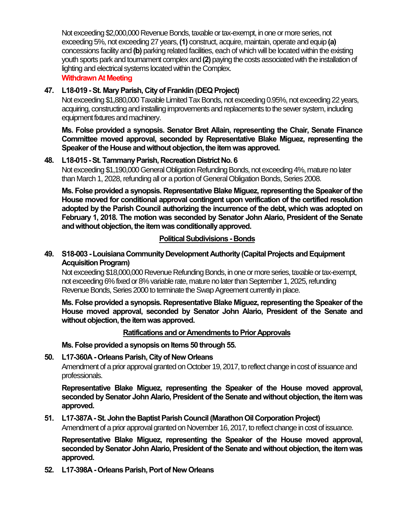Not exceeding \$2,000,000 Revenue Bonds, taxable or tax-exempt, in one or more series, not exceeding 5%, not exceeding 27 years, **(1)** construct, acquire, maintain, operate and equip **(a)** concessions facility and **(b)** parking related facilities, each of which will be located within the existing youth sports park and tournament complex and **(2)** paying the costs associated with the installation of lighting and electrical systems located within the Complex.

### **Withdrawn At Meeting**

## **47. L18-019 -St. Mary Parish, City of Franklin (DEQ Project)**

Not exceeding \$1,880,000 Taxable Limited Tax Bonds, not exceeding 0.95%, not exceeding 22 years, acquiring, constructing and installing improvements and replacements to the sewer system, including equipment fixtures and machinery.

**Ms. Folse provided a synopsis. Senator Bret Allain, representing the Chair, Senate Finance Committee moved approval, seconded by Representative Blake Miguez, representing the Speaker of the House and without objection, the item was approved.**

## **48. L18-015 -St. Tammany Parish, Recreation District No. 6**

Not exceeding \$1,190,000 General Obligation Refunding Bonds, not exceeding 4%, mature no later than March 1, 2028, refunding all or a portion of General Obligation Bonds, Series 2008.

**Ms. Folse provided a synopsis. Representative Blake Miguez, representing the Speaker of the House moved for conditional approval contingent upon verification of the certified resolution adopted by the Parish Council authorizing the incurrence of the debt, which was adopted on February 1, 2018. The motion was seconded by Senator John Alario, President of the Senate**  and without objection, the item was conditionally approved.

### **Political Subdivisions - Bonds**

### **49. S18-003 -Louisiana Community Development Authority (Capital Projects and Equipment Acquisition Program)**

Not exceeding \$18,000,000 Revenue Refunding Bonds, in one or more series, taxable or tax-exempt, not exceeding 6% fixed or 8% variable rate, mature no later than September 1, 2025, refunding Revenue Bonds, Series 2000 to terminate the Swap Agreement currently in place.

**Ms. Folse provided a synopsis. Representative Blake Miguez, representing the Speaker of the House moved approval, seconded by Senator John Alario, President of the Senate and**  without objection, the item was approved.

### **Ratifications and or Amendments to Prior Approvals**

**Ms. Folse provided a synopsis on Items 50 through 55.**

## **50. L17-360A - Orleans Parish, City of New Orleans**

Amendment of a prior approval granted on October 19, 2017, to reflect change in cost of issuance and professionals.

**Representative Blake Miguez, representing the Speaker of the House moved approval, seconded by Senator John Alario, President of the Senate and without objection, the item was approved.**

## **51. L17-387A -St. John the Baptist Parish Council (Marathon Oil Corporation Project)**

Amendment of a prior approval granted on November 16, 2017, to reflect change in cost of issuance.

**Representative Blake Miguez, representing the Speaker of the House moved approval, seconded by Senator John Alario, President of the Senate and without objection, the item was approved.**

**52. L17-398A - Orleans Parish, Port of New Orleans**